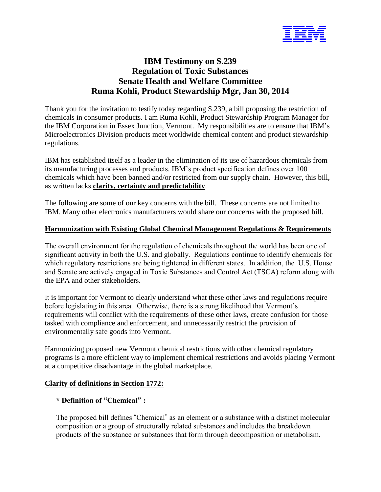

# **IBM Testimony on S.239 Regulation of Toxic Substances Senate Health and Welfare Committee Ruma Kohli, Product Stewardship Mgr, Jan 30, 2014**

Thank you for the invitation to testify today regarding S.239, a bill proposing the restriction of chemicals in consumer products. I am Ruma Kohli, Product Stewardship Program Manager for the IBM Corporation in Essex Junction, Vermont. My responsibilities are to ensure that IBM's Microelectronics Division products meet worldwide chemical content and product stewardship regulations.

IBM has established itself as a leader in the elimination of its use of hazardous chemicals from its manufacturing processes and products. IBM's product specification defines over 100 chemicals which have been banned and/or restricted from our supply chain. However, this bill, as written lacks **clarity, certainty and predictability**.

The following are some of our key concerns with the bill. These concerns are not limited to IBM. Many other electronics manufacturers would share our concerns with the proposed bill.

## **Harmonization with Existing Global Chemical Management Regulations & Requirements**

The overall environment for the regulation of chemicals throughout the world has been one of significant activity in both the U.S. and globally. Regulations continue to identify chemicals for which regulatory restrictions are being tightened in different states. In addition, the U.S. House and Senate are actively engaged in Toxic Substances and Control Act (TSCA) reform along with the EPA and other stakeholders.

It is important for Vermont to clearly understand what these other laws and regulations require before legislating in this area. Otherwise, there is a strong likelihood that Vermont's requirements will conflict with the requirements of these other laws, create confusion for those tasked with compliance and enforcement, and unnecessarily restrict the provision of environmentally safe goods into Vermont.

Harmonizing proposed new Vermont chemical restrictions with other chemical regulatory programs is a more efficient way to implement chemical restrictions and avoids placing Vermont at a competitive disadvantage in the global marketplace.

# **Clarity of definitions in Section 1772:**

# **\* Definition of "Chemical" :**

The proposed bill defines "Chemical" as an element or a substance with a distinct molecular composition or a group of structurally related substances and includes the breakdown products of the substance or substances that form through decomposition or metabolism.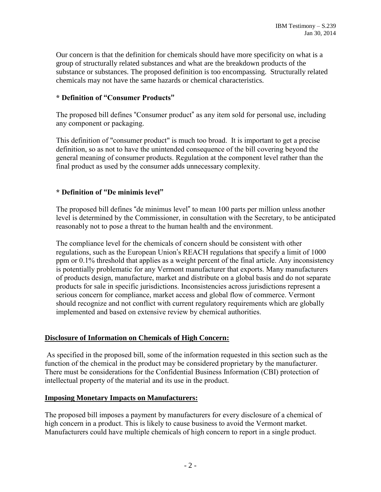Our concern is that the definition for chemicals should have more specificity on what is a group of structurally related substances and what are the breakdown products of the substance or substances. The proposed definition is too encompassing. Structurally related chemicals may not have the same hazards or chemical characteristics.

# **\* Definition of "Consumer Products"**

The proposed bill defines "Consumer product" as any item sold for personal use, including any component or packaging.

This definition of "consumer product" is much too broad. It is important to get a precise definition, so as not to have the unintended consequence of the bill covering beyond the general meaning of consumer products. Regulation at the component level rather than the final product as used by the consumer adds unnecessary complexity.

## **\* Definition of "De minimis level"**

The proposed bill defines "de minimus level" to mean 100 parts per million unless another level is determined by the Commissioner, in consultation with the Secretary, to be anticipated reasonably not to pose a threat to the human health and the environment.

The compliance level for the chemicals of concern should be consistent with other regulations, such as the European Union's REACH regulations that specify a limit of 1000 ppm or 0.1% threshold that applies as a weight percent of the final article. Any inconsistency is potentially problematic for any Vermont manufacturer that exports. Many manufacturers of products design, manufacture, market and distribute on a global basis and do not separate products for sale in specific jurisdictions. Inconsistencies across jurisdictions represent a serious concern for compliance, market access and global flow of commerce. Vermont should recognize and not conflict with current regulatory requirements which are globally implemented and based on extensive review by chemical authorities.

### **Disclosure of Information on Chemicals of High Concern:**

As specified in the proposed bill, some of the information requested in this section such as the function of the chemical in the product may be considered proprietary by the manufacturer. There must be considerations for the Confidential Business Information (CBI) protection of intellectual property of the material and its use in the product.

### **Imposing Monetary Impacts on Manufacturers:**

The proposed bill imposes a payment by manufacturers for every disclosure of a chemical of high concern in a product. This is likely to cause business to avoid the Vermont market. Manufacturers could have multiple chemicals of high concern to report in a single product.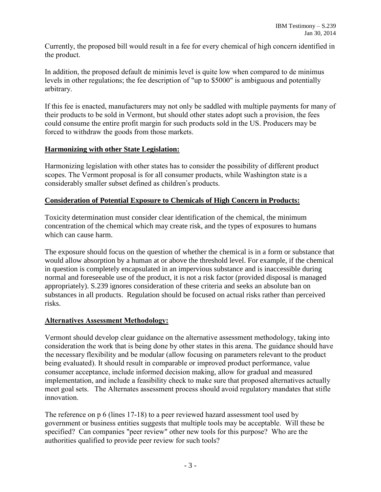Currently, the proposed bill would result in a fee for every chemical of high concern identified in the product.

In addition, the proposed default de minimis level is quite low when compared to de minimus levels in other regulations; the fee description of "up to \$5000" is ambiguous and potentially arbitrary.

If this fee is enacted, manufacturers may not only be saddled with multiple payments for many of their products to be sold in Vermont, but should other states adopt such a provision, the fees could consume the entire profit margin for such products sold in the US. Producers may be forced to withdraw the goods from those markets.

## **Harmonizing with other State Legislation:**

Harmonizing legislation with other states has to consider the possibility of different product scopes. The Vermont proposal is for all consumer products, while Washington state is a considerably smaller subset defined as children's products.

# **Consideration of Potential Exposure to Chemicals of High Concern in Products:**

Toxicity determination must consider clear identification of the chemical, the minimum concentration of the chemical which may create risk, and the types of exposures to humans which can cause harm.

The exposure should focus on the question of whether the chemical is in a form or substance that would allow absorption by a human at or above the threshold level. For example, if the chemical in question is completely encapsulated in an impervious substance and is inaccessible during normal and foreseeable use of the product, it is not a risk factor (provided disposal is managed appropriately). S.239 ignores consideration of these criteria and seeks an absolute ban on substances in all products. Regulation should be focused on actual risks rather than perceived risks.

### **Alternatives Assessment Methodology:**

Vermont should develop clear guidance on the alternative assessment methodology, taking into consideration the work that is being done by other states in this arena. The guidance should have the necessary flexibility and be modular (allow focusing on parameters relevant to the product being evaluated). It should result in comparable or improved product performance, value consumer acceptance, include informed decision making, allow for gradual and measured implementation, and include a feasibility check to make sure that proposed alternatives actually meet goal sets. The Alternates assessment process should avoid regulatory mandates that stifle innovation.

The reference on p 6 (lines 17-18) to a peer reviewed hazard assessment tool used by government or business entities suggests that multiple tools may be acceptable. Will these be specified? Can companies "peer review" other new tools for this purpose? Who are the authorities qualified to provide peer review for such tools?